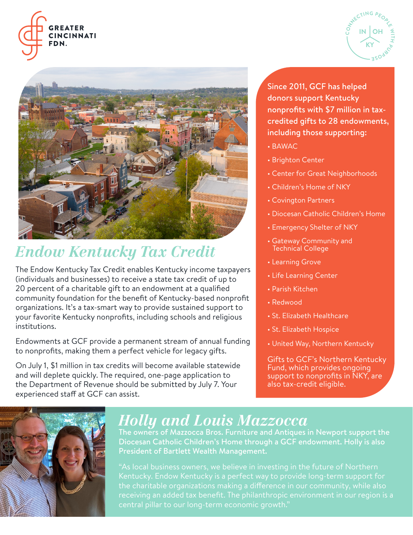





## *Endow Kentucky Tax Credit*

The Endow Kentucky Tax Credit enables Kentucky income taxpayers (individuals and businesses) to receive a state tax credit of up to 20 percent of a charitable gift to an endowment at a qualified community foundation for the benefit of Kentucky-based nonprofit organizations. It's a tax-smart way to provide sustained support to your favorite Kentucky nonprofits, including schools and religious institutions.

Endowments at GCF provide a permanent stream of annual funding to nonprofits, making them a perfect vehicle for legacy gifts.

On July 1, \$1 million in tax credits will become available statewide and will deplete quickly. The required, one-page application to the Department of Revenue should be submitted by July 7. Your experienced staff at GCF can assist.

Since 2011, GCF has helped donors support Kentucky nonprofits with \$7 million in taxcredited gifts to 28 endowments, including those supporting:

- BAWAC
- Brighton Center
- Center for Great Neighborhoods
- Children's Home of NKY
- Covington Partners
- Diocesan Catholic Children's Home
- Emergency Shelter of NKY
- Gateway Community and Technical College
- Learning Grove
- Life Learning Center
- Parish Kitchen
- Redwood
- St. Elizabeth Healthcare
- St. Elizabeth Hospice
- United Way, Northern Kentucky

Gifts to GCF's Northern Kentucky Fund, which provides ongoing support to nonprofits in NKY, are also tax-credit eligible.



#### *Holly and Louis Mazzocca*

The owners of Mazzocca Bros. Furniture and Antiques in Newport support the Diocesan Catholic Children's Home through a GCF endowment. Holly is also President of Bartlett Wealth Management.

Kentucky. Endow Kentucky is a perfect way to provide long-term support for the charitable organizations making a difference in our community, while also receiving an added tax benefit. The philanthropic environment in our region is a